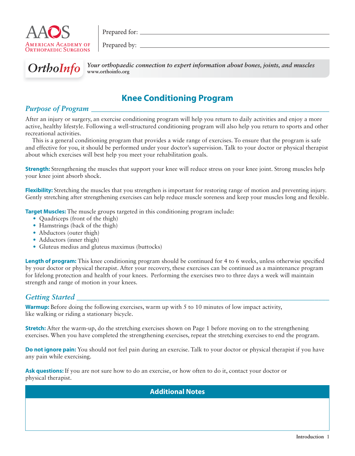

Prepared for:

Prepared by:



**OrthoInfo** Your orthopaedic connection to expert information about bones, joints, and muscles **www.orthoinfo.org**

# **Knee Conditioning Program**

## *Purpose of Program*

After an injury or surgery, an exercise conditioning program will help you return to daily activities and enjoy a more active, healthy lifestyle. Following a well-structured conditioning program will also help you return to sports and other recreational activities.

This is a general conditioning program that provides a wide range of exercises. To ensure that the program is safe and effective for you, it should be performed under your doctor's supervision. Talk to your doctor or physical therapist about which exercises will best help you meet your rehabilitation goals.

**Strength:** Strengthening the muscles that support your knee will reduce stress on your knee joint. Strong muscles help your knee joint absorb shock.

**Flexibility:** Stretching the muscles that you strengthen is important for restoring range of motion and preventing injury. Gently stretching after strengthening exercises can help reduce muscle soreness and keep your muscles long and flexible.

**Target Muscles:** The muscle groups targeted in this conditioning program include:

- Quadriceps (front of the thigh)
- Hamstrings (back of the thigh)
- Abductors (outer thigh)
- Adductors (inner thigh)
- Gluteus medius and gluteus maximus (buttocks)

**Length of program:** This knee conditioning program should be continued for 4 to 6 weeks, unless otherwise specified by your doctor or physical therapist. After your recovery, these exercises can be continued as a maintenance program for lifelong protection and health of your knees. Performing the exercises two to three days a week will maintain strength and range of motion in your knees.

## *Getting Started*

**Warmup:** Before doing the following exercises, warm up with 5 to 10 minutes of low impact activity, like walking or riding a stationary bicycle.

**Stretch:** After the warm-up, do the stretching exercises shown on Page 1 before moving on to the strengthening exercises. When you have completed the strengthening exercises, repeat the stretching exercises to end the program.

**Do not ignore pain:** You should not feel pain during an exercise. Talk to your doctor or physical therapist if you have any pain while exercising.

**Ask questions:** If you are not sure how to do an exercise, or how often to do it, contact your doctor or physical therapist.

**Additional Notes**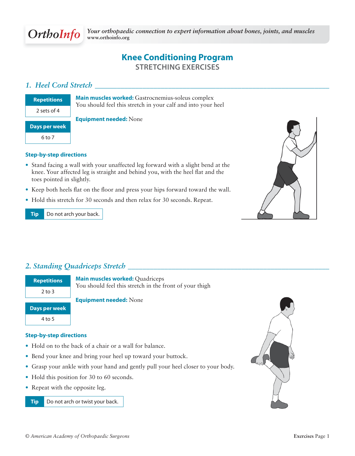# **Knee Conditioning Program STRETCHING EXERCISES**

## *1. Heel Cord Stretch \_\_\_\_\_\_\_\_\_\_\_\_\_\_\_\_\_\_\_\_\_\_\_\_\_\_\_\_\_\_\_\_\_\_\_\_\_\_\_\_\_\_\_\_\_\_\_\_\_\_\_\_\_\_\_\_\_\_\_\_\_\_\_\_*

**Main muscles worked:** Gastrocnemius-soleus complex You should feel this stretch in your calf and into your heel

#### **Equipment needed:** None

#### **Step-by-step directions**

- Stand facing a wall with your unaffected leg forward with a slight bend at the knee. Your affected leg is straight and behind you, with the heel flat and the toes pointed in slightly.
- Keep both heels flat on the floor and press your hips forward toward the wall.
- Hold this stretch for 30 seconds and then relax for 30 seconds. Repeat.

**Tip** Do not arch your back.



## *2. Standing Quadriceps Stretch \_\_\_\_\_\_\_\_\_\_\_\_\_\_\_\_\_\_\_\_\_\_\_\_\_\_\_\_\_\_\_\_\_\_\_\_\_\_\_\_\_\_\_\_\_\_\_\_\_\_\_\_\_\_\_*

**Repetitions** 2 to 3

**Main muscles worked:** Quadriceps You should feel this stretch in the front of your thigh

#### **Equipment needed:** None

**Days per week** 4 to 5

# **Step-by-step directions**

- Hold on to the back of a chair or a wall for balance.
- Bend your knee and bring your heel up toward your buttock.
- Grasp your ankle with your hand and gently pull your heel closer to your body.
- Hold this position for 30 to 60 seconds.
- Repeat with the opposite leg.

**Tip** Do not arch or twist your back.

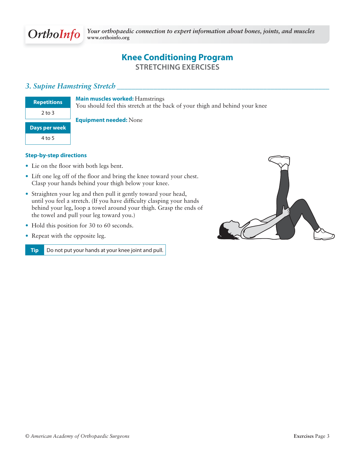# **Knee Conditioning Program STRETCHING EXERCISES**

## *3. Supine Hamstring Stretch \_\_\_\_\_\_\_\_\_\_\_\_\_\_\_\_\_\_\_\_\_\_\_\_\_\_\_\_\_\_\_\_\_\_\_\_\_\_\_\_\_\_\_\_\_\_\_\_\_\_\_\_\_\_\_\_\_\_*

| <b>Repetitions</b> |
|--------------------|
| 2 to 3             |
| Days per week      |
| 4 to 5             |

**Main muscles worked:** Hamstrings

You should feel this stretch at the back of your thigh and behind your knee

#### **Equipment needed:** None

#### **Step-by-step directions**

- Lie on the floor with both legs bent.
- $\bullet$  Lift one leg off of the floor and bring the knee toward your chest. Clasp your hands behind your thigh below your knee.
- Straighten your leg and then pull it gently toward your head, until you feel a stretch. (If you have difficulty clasping your hands behind your leg, loop a towel around your thigh. Grasp the ends of the towel and pull your leg toward you.)
- Hold this position for 30 to 60 seconds.
- Repeat with the opposite leg.

**Tip** Do not put your hands at your knee joint and pull.

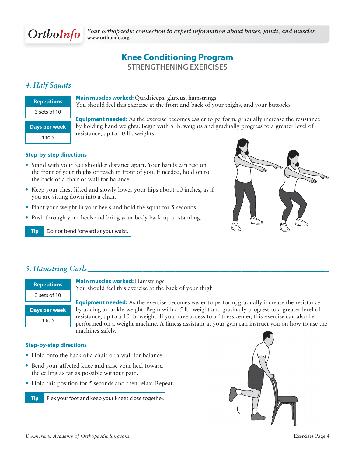# **Knee Conditioning Program STRENGTHENING EXERCISES**

# *4. Half Squats \_\_\_\_\_\_\_\_\_\_\_\_\_\_\_\_\_\_\_\_\_\_\_\_\_\_\_\_\_\_\_\_\_\_\_\_\_\_\_\_\_\_\_\_\_\_\_\_\_\_\_\_\_\_\_\_\_\_\_\_\_\_\_\_\_\_\_\_\_*

| <b>Repetitions</b>   |
|----------------------|
| 3 sets of 10         |
| <b>Days per week</b> |
| 4 to 5               |
|                      |

**Main muscles worked:** Quadriceps, gluteus, hamstrings You should feel this exercise at the front and back of your thighs, and your buttocks

**Equipment needed:** As the exercise becomes easier to perform, gradually increase the resistance by holding hand weights. Begin with 5 lb. weights and gradually progress to a greater level of resistance, up to 10 lb. weights.

#### **Step-by-step directions**

- Stand with your feet shoulder distance apart. Your hands can rest on the front of your thighs or reach in front of you. If needed, hold on to the back of a chair or wall for balance.
- Keep your chest lifted and slowly lower your hips about 10 inches, as if you are sitting down into a chair.
- Plant your weight in your heels and hold the squat for 5 seconds.
- Push through your heels and bring your body back up to standing.

**Tip** Do not bend forward at your waist.



## *5. Hamstring Curls \_\_\_\_\_\_\_\_\_\_\_\_\_\_\_\_\_\_\_\_\_\_\_\_\_\_\_\_\_\_\_\_\_\_\_\_\_\_\_\_\_\_\_\_\_\_\_\_\_\_\_\_\_\_\_\_\_\_\_\_\_\_\_\_\_\_*

| <b>Repetitions</b> | <b>Main muscles worked: Hamstrings</b><br>You should feel this exercise at the back of your thigh                                                                                                         |
|--------------------|-----------------------------------------------------------------------------------------------------------------------------------------------------------------------------------------------------------|
| 3 sets of 10       |                                                                                                                                                                                                           |
|                    | <b>Equipment needed:</b> As the exercise becomes easier to perform, gradually increase the resistance                                                                                                     |
| Days per week      | by adding an ankle weight. Begin with a 5 lb. weight and gradually progress to a greater level of                                                                                                         |
| 4 to 5             | resistance, up to a 10 lb. weight. If you have access to a fitness center, this exercise can also be<br>performed on a weight machine. A fitness assistant at your gym can instruct you on how to use the |
|                    | machines safely.                                                                                                                                                                                          |

#### **Step-by-step directions**

- Hold onto the back of a chair or a wall for balance.
- Bend your affected knee and raise your heel toward the ceiling as far as possible without pain.
- Hold this position for 5 seconds and then relax. Repeat.

**Tip** Flex your foot and keep your knees close together.

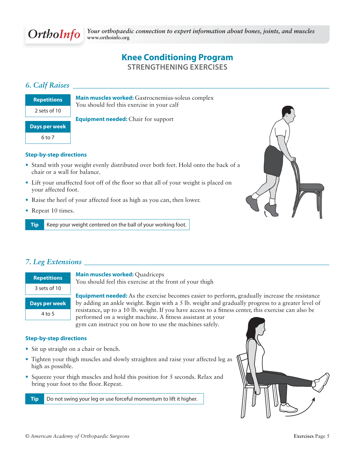## **Knee Conditioning Program STRENGTHENING EXERCISES**

## *6. Calf Raises \_\_\_\_\_\_\_\_\_\_\_\_\_\_\_\_\_\_\_\_\_\_\_\_\_\_\_\_\_\_\_\_\_\_\_\_\_\_\_\_\_\_\_\_\_\_\_\_\_\_\_\_\_\_\_\_\_\_\_\_\_\_\_\_\_\_\_\_\_\_*

| <b>Repetitions</b> |  |
|--------------------|--|
| 2 sets of 10       |  |
| Days per week      |  |
|                    |  |
| 6 to 7             |  |

**Main muscles worked:** Gastrocnemius-soleus complex You should feel this exercise in your calf

**Equipment needed:** Chair for support

#### **Step-by-step directions**

- Stand with your weight evenly distributed over both feet. Hold onto the back of a chair or a wall for balance.
- Lift your unaffected foot off of the floor so that all of your weight is placed on your affected foot.
- Raise the heel of your affected foot as high as you can, then lower.
- Repeat 10 times.

**Tip** Keep your weight centered on the ball of your working foot.



## *7. Leg Extensions \_\_\_\_\_\_\_\_\_\_\_\_\_\_\_\_\_\_\_\_\_\_\_\_\_\_\_\_\_\_\_\_\_\_\_\_\_\_\_\_\_\_\_\_\_\_\_\_\_\_\_\_\_\_\_\_\_\_\_\_\_\_\_\_\_\_\_*

| <b>Repetitions</b> |
|--------------------|
| $3$ sets of $10$   |
| Days per week      |
| 4 to 5             |

**Main muscles worked:** Quadriceps

You should feel this exercise at the front of your thigh

**Equipment needed:** As the exercise becomes easier to perform, gradually increase the resistance by adding an ankle weight. Begin with a 5 lb. weight and gradually progress to a greater level of resistance, up to a 10 lb. weight. If you have access to a fitness center, this exercise can also be performed on a weight machine. A fitness assistant at your

gym can instruct you on how to use the machines safely.

#### **Step-by-step directions**

- Sit up straight on a chair or bench.
- Tighten your thigh muscles and slowly straighten and raise your affected leg as high as possible.
- Squeeze your thigh muscles and hold this position for 5 seconds. Relax and bring your foot to the floor. Repeat.

**Tip** Do not swing your leg or use forceful momentum to lift it higher.

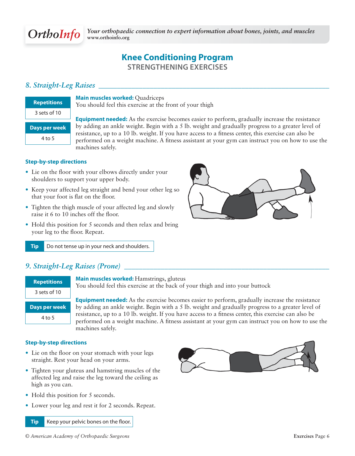# **Knee Conditioning Program STRENGTHENING EXERCISES**

## 8. Straight-Leg Raises

| <b>Repetitions</b> |
|--------------------|
| 3 sets of 10       |
| Days per week      |
| 4 to 5             |
|                    |

**Main muscles worked:** Quadriceps

You should feel this exercise at the front of your thigh

**Equipment needed:** As the exercise becomes easier to perform, gradually increase the resistance by adding an ankle weight. Begin with a 5 lb. weight and gradually progress to a greater level of resistance, up to a 10 lb. weight. If you have access to a fitness center, this exercise can also be performed on a weight machine. A fitness assistant at your gym can instruct you on how to use the machines safely.

#### **Step-by-step directions**

- Lie on the floor with your elbows directly under your shoulders to support your upper body.
- Keep your affected leg straight and bend your other leg so that your foot is flat on the floor.
- Tighten the thigh muscle of your affected leg and slowly raise it 6 to 10 inches off the floor.
- Hold this position for 5 seconds and then relax and bring your leg to the floor. Repeat.

**Tip** Do not tense up in your neck and shoulders.

## *9. Straight-Leg Raises (Prone) \_\_\_\_\_\_\_\_\_\_\_\_\_\_\_\_\_\_\_\_\_\_\_\_\_\_\_\_\_\_\_\_\_\_\_\_\_\_\_\_\_\_\_\_\_\_\_\_\_\_\_\_\_\_\_\_*

| <b>Repetitions</b>   |
|----------------------|
| 3 sets of 10         |
|                      |
| <b>Days per week</b> |
| 4 to 5               |

**Main muscles worked:** Hamstrings, gluteus

You should feel this exercise at the back of your thigh and into your buttock

**Equipment needed:** As the exercise becomes easier to perform, gradually increase the resistance by adding an ankle weight. Begin with a 5 lb. weight and gradually progress to a greater level of resistance, up to a 10 lb. weight. If you have access to a fitness center, this exercise can also be performed on a weight machine. A fitness assistant at your gym can instruct you on how to use the machines safely.

#### **Step-by-step directions**

- Lie on the floor on your stomach with your legs straight. Rest your head on your arms.
- Tighten your gluteus and hamstring muscles of the affected leg and raise the leg toward the ceiling as high as you can.
- Hold this position for 5 seconds.
- Lower your leg and rest it for 2 seconds. Repeat.

**Tip** Keep your pelvic bones on the floor.

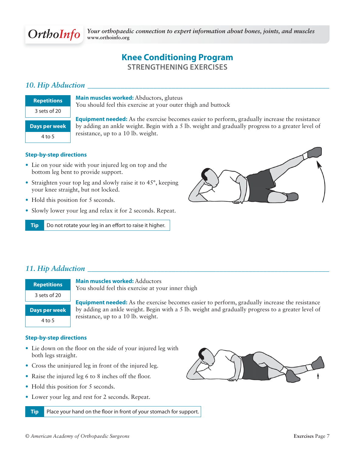# **Knee Conditioning Program STRENGTHENING EXERCISES**

# *10. Hip Abduction \_\_\_\_\_\_\_\_\_\_\_\_\_\_\_\_\_\_\_\_\_\_\_\_\_\_\_\_\_\_\_\_\_\_\_\_\_\_\_\_\_\_\_\_\_\_\_\_\_\_\_\_\_\_\_\_\_\_\_\_\_\_\_\_\_\_*

| <b>Repetitions</b> | Main muscles worked: Abductors, gluteus<br>You should feel this exercise at your outer thigh and buttock |
|--------------------|----------------------------------------------------------------------------------------------------------|
| 3 sets of 20       |                                                                                                          |
|                    | <b>Equipment needed:</b> As the exercise becomes easier to perform, gradually increase the resistance    |
| Days per week      | by adding an ankle weight. Begin with a 5 lb. weight and gradually progress to a greater level of        |
| $4$ to 5           | resistance, up to a 10 lb. weight.                                                                       |

#### **Step-by-step directions**

- Lie on your side with your injured leg on top and the bottom leg bent to provide support.
- Straighten your top leg and slowly raise it to 45°, keeping your knee straight, but not locked.
- Hold this position for 5 seconds.
- Slowly lower your leg and relax it for 2 seconds. Repeat.

**Tip** Do not rotate your leg in an effort to raise it higher.



## *11. Hip Adduction \_\_\_\_\_\_\_\_\_\_\_\_\_\_\_\_\_\_\_\_\_\_\_\_\_\_\_\_\_\_\_\_\_\_\_\_\_\_\_\_\_\_\_\_\_\_\_\_\_\_\_\_\_\_\_\_\_\_\_\_\_\_\_\_\_\_*

| <b>Repetitions</b>   | <b>Mai</b><br>You             |
|----------------------|-------------------------------|
| 3 sets of 20         |                               |
| <b>Days per week</b> | <b>Equ</b><br>by <sub>i</sub> |
| $4$ to 5             | resis                         |

**n muscles worked:** Adductors should feel this exercise at your inner thigh

**Externment needed:** As the exercise becomes easier to perform, gradually increase the resistance dding an ankle weight. Begin with a 5 lb. weight and gradually progress to a greater level of stance, up to a 10 lb. weight.

#### **Step-by-step directions**

- Lie down on the floor on the side of your injured leg with both legs straight.
- Cross the uninjured leg in front of the injured leg.
- Raise the injured leg 6 to 8 inches off the floor.
- Hold this position for 5 seconds.
- Lower your leg and rest for 2 seconds. Repeat.

**Tip** Place your hand on the floor in front of your stomach for support.